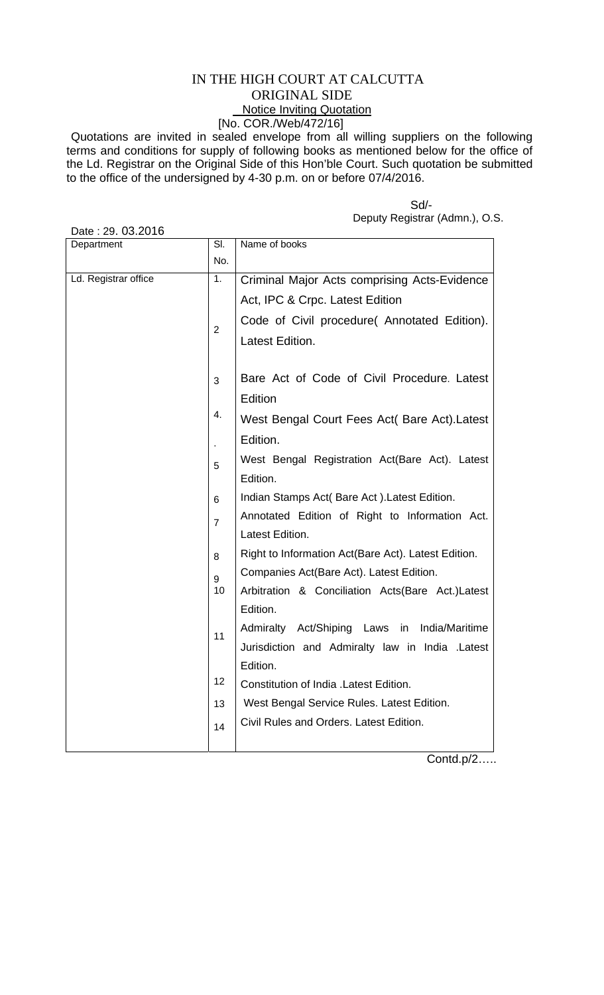## IN THE HIGH COURT AT CALCUTTA ORIGINAL SIDE Notice Inviting Quotation [No. COR./Web/472/16]

Quotations are invited in sealed envelope from all willing suppliers on the following terms and conditions for supply of following books as mentioned below for the office of the Ld. Registrar on the Original Side of this Hon'ble Court. Such quotation be submitted to the office of the undersigned by 4-30 p.m. on or before 07/4/2016.

| Date: 29. 03.2016    |                |                                                        |
|----------------------|----------------|--------------------------------------------------------|
| Department           | SI.            | Name of books                                          |
|                      | No.            |                                                        |
| Ld. Registrar office | 1.             | Criminal Major Acts comprising Acts-Evidence           |
|                      |                | Act, IPC & Crpc. Latest Edition                        |
|                      | $\overline{2}$ | Code of Civil procedure (Annotated Edition).           |
|                      |                | Latest Edition.                                        |
|                      |                |                                                        |
|                      | 3              | Bare Act of Code of Civil Procedure. Latest<br>Edition |
|                      | 4.             |                                                        |
|                      |                | West Bengal Court Fees Act( Bare Act). Latest          |
|                      |                | Edition.                                               |
|                      | 5              | West Bengal Registration Act(Bare Act). Latest         |
|                      |                | Edition.                                               |
|                      | 6              | Indian Stamps Act( Bare Act). Latest Edition.          |
|                      | $\overline{7}$ | Annotated Edition of Right to Information Act.         |
|                      |                | Latest Edition.                                        |
|                      | 8              | Right to Information Act(Bare Act). Latest Edition.    |
|                      | 9              | Companies Act(Bare Act). Latest Edition.               |
|                      | 10             | Arbitration & Conciliation Acts(Bare Act.)Latest       |
|                      |                | Edition.                                               |
|                      | 11             | Admiralty Act/Shiping Laws in<br>India/Maritime        |
|                      |                | Jurisdiction and Admiralty law in India .Latest        |
|                      |                | Edition.                                               |
|                      | 12             | Constitution of India . Latest Edition.                |
|                      | 13             | West Bengal Service Rules. Latest Edition.             |
|                      | 14             | Civil Rules and Orders. Latest Edition.                |
|                      |                |                                                        |

 Sd/- Deputy Registrar (Admn.), O.S.

Contd.p/2…..